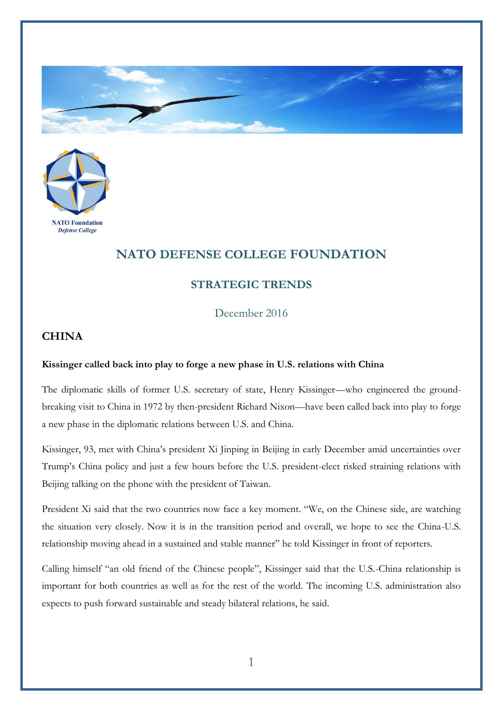



## **NATO DEFENSE COLLEGE FOUNDATION**

## **STRATEGIC TRENDS**

December 2016

## **CHINA**

## **Kissinger called back into play to forge a new phase in U.S. relations with China**

The diplomatic skills of former U.S. secretary of state, Henry Kissinger—who engineered the groundbreaking visit to China in 1972 by then-president Richard Nixon—have been called back into play to forge a new phase in the diplomatic relations between U.S. and China.

Kissinger, 93, met with China's president Xi Jinping in Beijing in early December amid uncertainties over Trump's China policy and just a few hours before the U.S. president-elect risked straining relations with Beijing talking on the phone with the president of Taiwan.

President Xi said that the two countries now face a key moment. "We, on the Chinese side, are watching the situation very closely. Now it is in the transition period and overall, we hope to see the China-U.S. relationship moving ahead in a sustained and stable manner" he told Kissinger in front of reporters.

Calling himself "an old friend of the Chinese people", Kissinger said that the U.S.-China relationship is important for both countries as well as for the rest of the world. The incoming U.S. administration also expects to push forward sustainable and steady bilateral relations, he said.